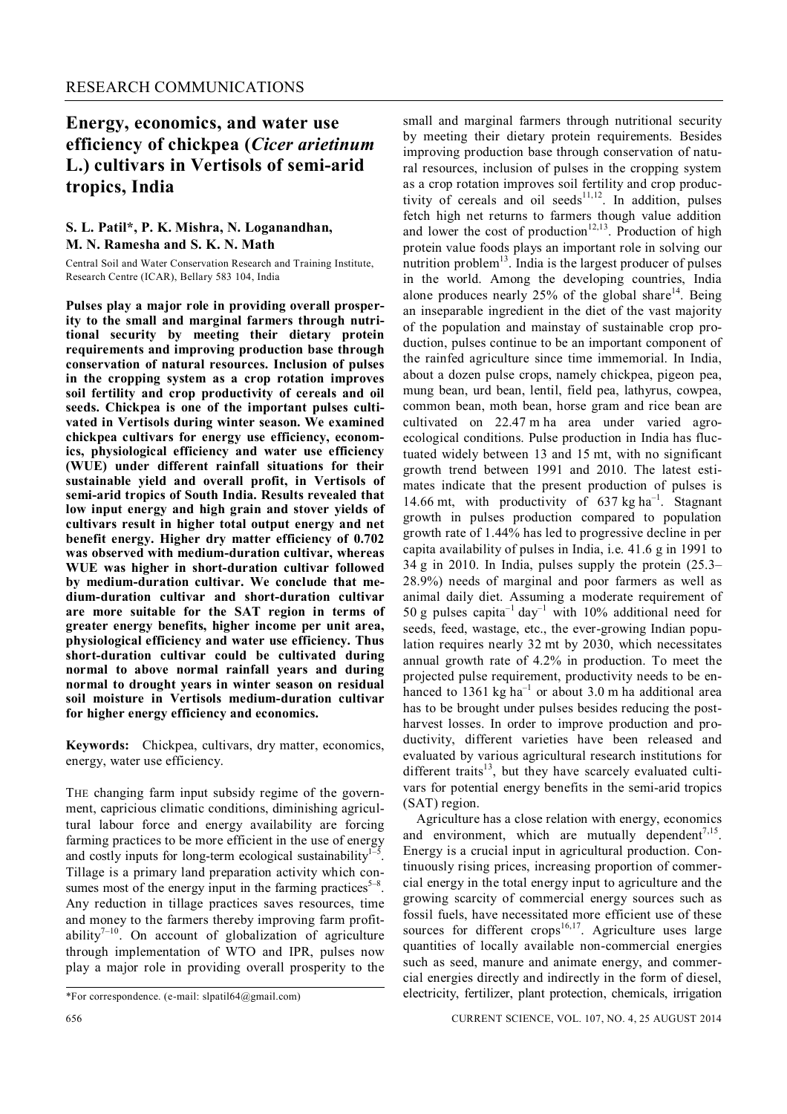## **Energy, economics, and water use efficiency of chickpea (***Cicer arietinum*  **L.) cultivars in Vertisols of semi-arid tropics, India**

## **S. L. Patil\*, P. K. Mishra, N. Loganandhan, M. N. Ramesha and S. K. N. Math**

Central Soil and Water Conservation Research and Training Institute, Research Centre (ICAR), Bellary 583 104, India

**Pulses play a major role in providing overall prosperity to the small and marginal farmers through nutritional security by meeting their dietary protein requirements and improving production base through conservation of natural resources. Inclusion of pulses in the cropping system as a crop rotation improves soil fertility and crop productivity of cereals and oil seeds. Chickpea is one of the important pulses cultivated in Vertisols during winter season. We examined chickpea cultivars for energy use efficiency, economics, physiological efficiency and water use efficiency (WUE) under different rainfall situations for their sustainable yield and overall profit, in Vertisols of semi-arid tropics of South India. Results revealed that low input energy and high grain and stover yields of cultivars result in higher total output energy and net benefit energy. Higher dry matter efficiency of 0.702 was observed with medium-duration cultivar, whereas WUE was higher in short-duration cultivar followed by medium-duration cultivar. We conclude that medium-duration cultivar and short-duration cultivar are more suitable for the SAT region in terms of greater energy benefits, higher income per unit area, physiological efficiency and water use efficiency. Thus short-duration cultivar could be cultivated during normal to above normal rainfall years and during normal to drought years in winter season on residual soil moisture in Vertisols medium-duration cultivar for higher energy efficiency and economics.** 

**Keywords:** Chickpea, cultivars, dry matter, economics, energy, water use efficiency.

THE changing farm input subsidy regime of the government, capricious climatic conditions, diminishing agricultural labour force and energy availability are forcing farming practices to be more efficient in the use of energy and costly inputs for long-term ecological sustainability $1$ -. Tillage is a primary land preparation activity which consumes most of the energy input in the farming practices<sup> $5-8$ </sup>. Any reduction in tillage practices saves resources, time and money to the farmers thereby improving farm profitability $7^{-10}$ . On account of globalization of agriculture through implementation of WTO and IPR, pulses now play a major role in providing overall prosperity to the

improving production base through conservation of natural resources, inclusion of pulses in the cropping system as a crop rotation improves soil fertility and crop productivity of cereals and oil seeds<sup>11,12</sup>. In addition, pulses fetch high net returns to farmers though value addition and lower the cost of production<sup>12,13</sup>. Production of high protein value foods plays an important role in solving our nutrition problem<sup>13</sup>. India is the largest producer of pulses in the world. Among the developing countries, India alone produces nearly  $25%$  of the global share<sup>14</sup>. Being an inseparable ingredient in the diet of the vast majority of the population and mainstay of sustainable crop production, pulses continue to be an important component of the rainfed agriculture since time immemorial. In India, about a dozen pulse crops, namely chickpea, pigeon pea, mung bean, urd bean, lentil, field pea, lathyrus, cowpea, common bean, moth bean, horse gram and rice bean are cultivated on 22.47 m ha area under varied agroecological conditions. Pulse production in India has fluctuated widely between 13 and 15 mt, with no significant growth trend between 1991 and 2010. The latest estimates indicate that the present production of pulses is 14.66 mt, with productivity of  $637 \text{ kg ha}^{-1}$ . Stagnant growth in pulses production compared to population growth rate of 1.44% has led to progressive decline in per capita availability of pulses in India, i.e. 41.6 g in 1991 to 34 g in 2010. In India, pulses supply the protein (25.3– 28.9%) needs of marginal and poor farmers as well as animal daily diet. Assuming a moderate requirement of 50 g pulses capita<sup>-1</sup> day<sup>-1</sup> with 10% additional need for seeds, feed, wastage, etc., the ever-growing Indian population requires nearly 32 mt by 2030, which necessitates annual growth rate of 4.2% in production. To meet the projected pulse requirement, productivity needs to be enhanced to 1361 kg ha<sup>-1</sup> or about 3.0 m ha additional area has to be brought under pulses besides reducing the postharvest losses. In order to improve production and productivity, different varieties have been released and evaluated by various agricultural research institutions for different traits<sup>13</sup>, but they have scarcely evaluated cultivars for potential energy benefits in the semi-arid tropics (SAT) region. Agriculture has a close relation with energy, economics

small and marginal farmers through nutritional security by meeting their dietary protein requirements. Besides

and environment, which are mutually dependent<sup>7,15</sup>. Energy is a crucial input in agricultural production. Continuously rising prices, increasing proportion of commercial energy in the total energy input to agriculture and the growing scarcity of commercial energy sources such as fossil fuels, have necessitated more efficient use of these sources for different crops<sup>16,17</sup>. Agriculture uses large quantities of locally available non-commercial energies such as seed, manure and animate energy, and commercial energies directly and indirectly in the form of diesel, electricity, fertilizer, plant protection, chemicals, irrigation

<sup>\*</sup>For correspondence. (e-mail: slpatil64@gmail.com)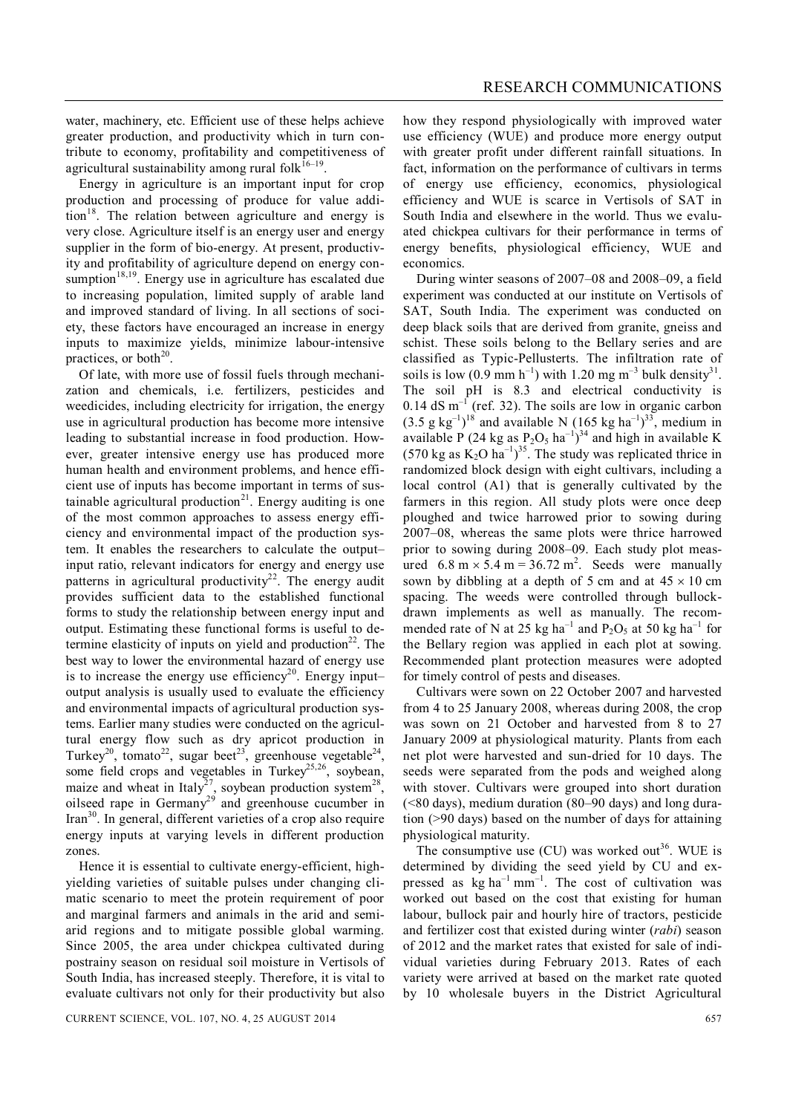water, machinery, etc. Efficient use of these helps achieve greater production, and productivity which in turn contribute to economy, profitability and competitiveness of agricultural sustainability among rural folk $16-19$ .

Energy in agriculture is an important input for crop production and processing of produce for value addition<sup>18</sup>. The relation between agriculture and energy is very close. Agriculture itself is an energy user and energy supplier in the form of bio-energy. At present, productivity and profitability of agriculture depend on energy consumption $18,19$ . Energy use in agriculture has escalated due to increasing population, limited supply of arable land and improved standard of living. In all sections of society, these factors have encouraged an increase in energy inputs to maximize yields, minimize labour-intensive practices, or both $^{20}$ .

Of late, with more use of fossil fuels through mechanization and chemicals, i.e. fertilizers, pesticides and weedicides, including electricity for irrigation, the energy use in agricultural production has become more intensive leading to substantial increase in food production. However, greater intensive energy use has produced more human health and environment problems, and hence efficient use of inputs has become important in terms of sustainable agricultural production $2<sup>1</sup>$ . Energy auditing is one of the most common approaches to assess energy efficiency and environmental impact of the production system. It enables the researchers to calculate the output– input ratio, relevant indicators for energy and energy use patterns in agricultural productivity<sup>22</sup>. The energy audit provides sufficient data to the established functional forms to study the relationship between energy input and output. Estimating these functional forms is useful to determine elasticity of inputs on yield and production<sup>22</sup>. The best way to lower the environmental hazard of energy use is to increase the energy use efficiency<sup>20</sup>. Energy input– output analysis is usually used to evaluate the efficiency and environmental impacts of agricultural production systems. Earlier many studies were conducted on the agricultural energy flow such as dry apricot production in Turkey<sup>20</sup>, tomato<sup>22</sup>, sugar beet<sup>23</sup>, greenhouse vegetable<sup>24</sup>, some field crops and vegetables in Turkey<sup>25,26</sup>, soybean, maize and wheat in Italy<sup>27</sup>, soybean production system<sup>28</sup>, oilseed rape in Germany<sup>29</sup> and greenhouse cucumber in  $\text{Tran}^{30}$ . In general, different varieties of a crop also require energy inputs at varying levels in different production zones.

Hence it is essential to cultivate energy-efficient, highyielding varieties of suitable pulses under changing climatic scenario to meet the protein requirement of poor and marginal farmers and animals in the arid and semiarid regions and to mitigate possible global warming. Since 2005, the area under chickpea cultivated during postrainy season on residual soil moisture in Vertisols of South India, has increased steeply. Therefore, it is vital to evaluate cultivars not only for their productivity but also how they respond physiologically with improved water use efficiency (WUE) and produce more energy output with greater profit under different rainfall situations. In fact, information on the performance of cultivars in terms of energy use efficiency, economics, physiological efficiency and WUE is scarce in Vertisols of SAT in South India and elsewhere in the world. Thus we evaluated chickpea cultivars for their performance in terms of energy benefits, physiological efficiency, WUE and economics.

During winter seasons of 2007–08 and 2008–09, a field experiment was conducted at our institute on Vertisols of SAT, South India. The experiment was conducted on deep black soils that are derived from granite, gneiss and schist. These soils belong to the Bellary series and are classified as Typic-Pellusterts. The infiltration rate of soils is low  $(0.9 \text{ mm h}^{-1})$  with 1.20 mg m<sup>-3</sup> bulk density<sup>31</sup>. The soil pH is 8.3 and electrical conductivity is  $0.14$  dS m<sup>-1</sup> (ref. 32). The soils are low in organic carbon  $(3.5 \text{ g kg}^{-1})^{18}$  and available N  $(165 \text{ kg ha}^{-1})^{33}$ , medium in available P (24 kg as  $P_2O_5$  ha<sup>-1</sup>)<sup>34</sup> and high in available K (570 kg as  $K_2O$  ha<sup>-1</sup>)<sup>35</sup>. The study was replicated thrice in randomized block design with eight cultivars, including a local control (A1) that is generally cultivated by the farmers in this region. All study plots were once deep ploughed and twice harrowed prior to sowing during 2007–08, whereas the same plots were thrice harrowed prior to sowing during 2008–09. Each study plot measured  $6.8 \text{ m} \times 5.4 \text{ m} = 36.72 \text{ m}^2$ . Seeds were manually sown by dibbling at a depth of 5 cm and at  $45 \times 10$  cm spacing. The weeds were controlled through bullockdrawn implements as well as manually. The recommended rate of N at 25 kg ha<sup>-1</sup> and  $P_2O_5$  at 50 kg ha<sup>-1</sup> for the Bellary region was applied in each plot at sowing. Recommended plant protection measures were adopted for timely control of pests and diseases.

Cultivars were sown on 22 October 2007 and harvested from 4 to 25 January 2008, whereas during 2008, the crop was sown on 21 October and harvested from 8 to 27 January 2009 at physiological maturity. Plants from each net plot were harvested and sun-dried for 10 days. The seeds were separated from the pods and weighed along with stover. Cultivars were grouped into short duration (<80 days), medium duration (80–90 days) and long duration (>90 days) based on the number of days for attaining physiological maturity.

The consumptive use (CU) was worked out<sup>36</sup>. WUE is determined by dividing the seed yield by CU and expressed as  $kg \text{ ha}^{-1} \text{ mm}^{-1}$ . The cost of cultivation was worked out based on the cost that existing for human labour, bullock pair and hourly hire of tractors, pesticide and fertilizer cost that existed during winter (*rabi*) season of 2012 and the market rates that existed for sale of individual varieties during February 2013. Rates of each variety were arrived at based on the market rate quoted by 10 wholesale buyers in the District Agricultural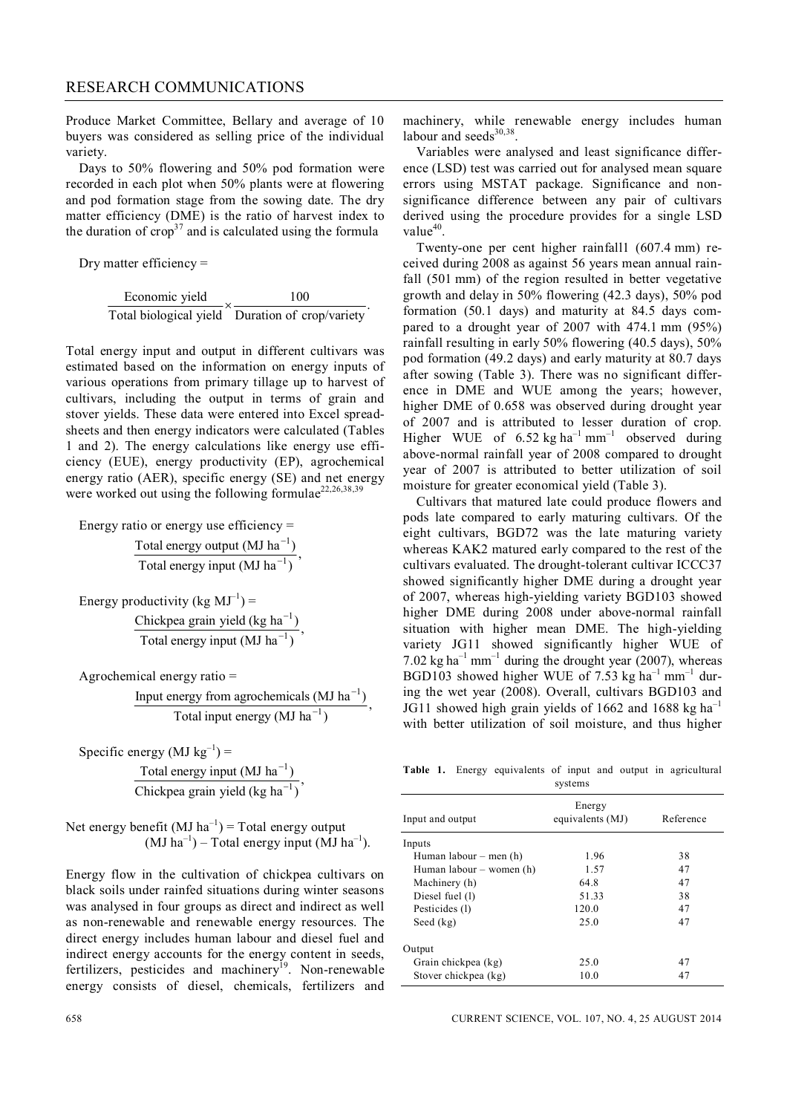Produce Market Committee, Bellary and average of 10 buyers was considered as selling price of the individual variety.

Days to 50% flowering and 50% pod formation were recorded in each plot when 50% plants were at flowering and pod formation stage from the sowing date. The dry matter efficiency (DME) is the ratio of harvest index to the duration of  $\text{crop}^{37}$  and is calculated using the formula

Dry matter efficiency =

| Economic yield | 100                                             |
|----------------|-------------------------------------------------|
|                | Total biological yield Duration of crop/variety |

.

Total energy input and output in different cultivars was estimated based on the information on energy inputs of various operations from primary tillage up to harvest of cultivars, including the output in terms of grain and stover yields. These data were entered into Excel spreadsheets and then energy indicators were calculated (Tables 1 and 2). The energy calculations like energy use efficiency (EUE), energy productivity (EP), agrochemical energy ratio (AER), specific energy (SE) and net energy were worked out using the following formulae<sup>22,26,38,39</sup>

Energy ratio or energy use efficiency = Total energy output  $(MJ ha^{-1})$  $\frac{1}{1}$ , Total energy input  $(MJ ha^{-1})$ 

Energy productivity (kg  $MJ^{-1}$ ) = 1 1 Chickpea grain yield (kg ha<sup>-1</sup>), Total energy input  $(MJ ha^{-1})$ --

Agrochemical energy ratio =

1 1 Input energy from agrochemicals  $(MJ ha^{-1})$ , Total input energy  $(MJ ha^{-1})$ --

Specific energy  $(MJ kg^{-1}) =$ 

1 1 Total energy input  $(MJ \text{ ha}^{-1})$ Chickpea grain yield (kg ha<sup>-1</sup>) --

Net energy benefit  $(MJ ha^{-1})$  = Total energy output  $(MJ ha^{-1})$  – Total energy input  $(MJ ha^{-1})$ .

Energy flow in the cultivation of chickpea cultivars on black soils under rainfed situations during winter seasons was analysed in four groups as direct and indirect as well as non-renewable and renewable energy resources. The direct energy includes human labour and diesel fuel and indirect energy accounts for the energy content in seeds, fertilizers, pesticides and machinery<sup>19</sup>. Non-renewable energy consists of diesel, chemicals, fertilizers and machinery, while renewable energy includes human labour and seeds $30,38$ .

Variables were analysed and least significance difference (LSD) test was carried out for analysed mean square errors using MSTAT package. Significance and nonsignificance difference between any pair of cultivars derived using the procedure provides for a single LSD  $value^{40}$ .

Twenty-one per cent higher rainfall1 (607.4 mm) received during 2008 as against 56 years mean annual rainfall (501 mm) of the region resulted in better vegetative growth and delay in 50% flowering (42.3 days), 50% pod formation (50.1 days) and maturity at 84.5 days compared to a drought year of 2007 with 474.1 mm (95%) rainfall resulting in early 50% flowering (40.5 days), 50% pod formation (49.2 days) and early maturity at 80.7 days after sowing (Table 3). There was no significant difference in DME and WUE among the years; however, higher DME of 0.658 was observed during drought year of 2007 and is attributed to lesser duration of crop. Higher WUE of  $6.52 \text{ kg ha}^{-1} \text{ mm}^{-1}$  observed during above-normal rainfall year of 2008 compared to drought year of 2007 is attributed to better utilization of soil moisture for greater economical yield (Table 3).

Cultivars that matured late could produce flowers and pods late compared to early maturing cultivars. Of the eight cultivars, BGD72 was the late maturing variety whereas KAK2 matured early compared to the rest of the cultivars evaluated. The drought-tolerant cultivar ICCC37 showed significantly higher DME during a drought year of 2007, whereas high-yielding variety BGD103 showed higher DME during 2008 under above-normal rainfall situation with higher mean DME. The high-yielding variety JG11 showed significantly higher WUE of 7.02 kg ha<sup>-1</sup> mm<sup>-1</sup> during the drought year (2007), whereas BGD103 showed higher WUE of 7.53 kg ha<sup>-1</sup> mm<sup>-1</sup> during the wet year (2008). Overall, cultivars BGD103 and JG11 showed high grain yields of 1662 and 1688 kg ha<sup>-1</sup> with better utilization of soil moisture, and thus higher

**Table 1.** Energy equivalents of input and output in agricultural systems

| Input and output         | Energy<br>equivalents (MJ) | Reference |
|--------------------------|----------------------------|-----------|
| Inputs                   |                            |           |
| Human labour $-$ men (h) | 1.96                       | 38        |
| Human labour – women (h) | 1.57                       | 47        |
| Machinery (h)            | 64.8                       | 47        |
| Diesel fuel (1)          | 51.33                      | 38        |
| Pesticides (1)           | 120.0                      | 47        |
| Seed $(kg)$              | 25.0                       | 47        |
| Output                   |                            |           |
| Grain chickpea (kg)      | 25.0                       | 47        |
| Stover chickpea (kg)     | 10.0                       | 47        |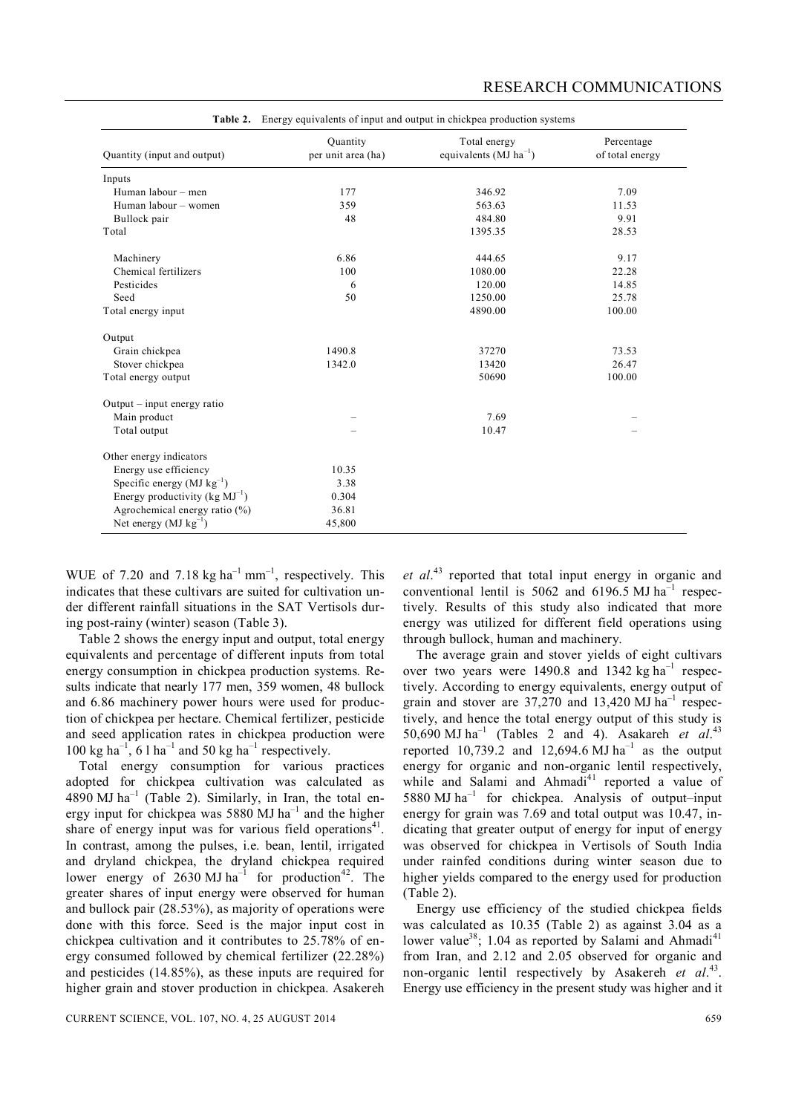|                                         |                                | <b>Table 2.</b> Energy equivalents of input and output in chickpea production systems |                               |
|-----------------------------------------|--------------------------------|---------------------------------------------------------------------------------------|-------------------------------|
| Quantity (input and output)             | Quantity<br>per unit area (ha) | Total energy<br>equivalents ( $MJ$ ha <sup>-1</sup> )                                 | Percentage<br>of total energy |
| Inputs                                  |                                |                                                                                       |                               |
| Human labour - men                      | 177                            | 346.92                                                                                | 7.09                          |
| Human labour – women                    | 359                            | 563.63                                                                                | 11.53                         |
| Bullock pair                            | 48                             | 484.80                                                                                | 9.91                          |
| Total                                   |                                | 1395.35                                                                               | 28.53                         |
| Machinery                               | 6.86                           | 444.65                                                                                | 9.17                          |
| Chemical fertilizers                    | 100                            | 1080.00                                                                               | 22.28                         |
| Pesticides                              | 6                              | 120.00                                                                                | 14.85                         |
| Seed                                    | 50                             | 1250.00                                                                               | 25.78                         |
| Total energy input                      |                                | 4890.00                                                                               | 100.00                        |
| Output                                  |                                |                                                                                       |                               |
| Grain chickpea                          | 1490.8                         | 37270                                                                                 | 73.53                         |
| Stover chickpea                         | 1342.0                         | 13420                                                                                 | 26.47                         |
| Total energy output                     |                                | 50690                                                                                 | 100.00                        |
| Output - input energy ratio             |                                |                                                                                       |                               |
| Main product                            |                                | 7.69                                                                                  |                               |
| Total output                            |                                | 10.47                                                                                 |                               |
| Other energy indicators                 |                                |                                                                                       |                               |
| Energy use efficiency                   | 10.35                          |                                                                                       |                               |
| Specific energy ( $MJ kg^{-1}$ )        | 3.38                           |                                                                                       |                               |
| Energy productivity ( $kg \, MJ^{-1}$ ) | 0.304                          |                                                                                       |                               |
| Agrochemical energy ratio (%)           | 36.81                          |                                                                                       |                               |
| Net energy $(MJ kg^{-1})$               | 45,800                         |                                                                                       |                               |

WUE of 7.20 and 7.18 kg  $ha^{-1}$  mm<sup>-1</sup>, respectively. This indicates that these cultivars are suited for cultivation under different rainfall situations in the SAT Vertisols during post-rainy (winter) season (Table 3).

Table 2 shows the energy input and output, total energy equivalents and percentage of different inputs from total energy consumption in chickpea production systems*.* Results indicate that nearly 177 men, 359 women, 48 bullock and 6.86 machinery power hours were used for production of chickpea per hectare. Chemical fertilizer, pesticide and seed application rates in chickpea production were  $100 \text{ kg ha}^{-1}$ , 6 l ha<sup>-1</sup> and 50 kg ha<sup>-1</sup> respectively.

Total energy consumption for various practices adopted for chickpea cultivation was calculated as  $4890$  MJ ha<sup>-1</sup> (Table 2). Similarly, in Iran, the total energy input for chickpea was 5880 MJ  $ha^{-1}$  and the higher share of energy input was for various field operations $41$ . In contrast, among the pulses, i.e. bean, lentil, irrigated and dryland chickpea, the dryland chickpea required lower energy of 2630 MJ ha<sup>-1</sup> for production<sup>42</sup>. The greater shares of input energy were observed for human and bullock pair (28.53%), as majority of operations were done with this force. Seed is the major input cost in chickpea cultivation and it contributes to 25.78% of energy consumed followed by chemical fertilizer (22.28%) and pesticides (14.85%), as these inputs are required for higher grain and stover production in chickpea. Asakereh

*et al*. <sup>43</sup> reported that total input energy in organic and conventional lentil is  $5062$  and  $6196.5$  MJ ha<sup>-1</sup> respectively. Results of this study also indicated that more energy was utilized for different field operations using through bullock, human and machinery.

The average grain and stover yields of eight cultivars over two years were  $1490.8$  and  $1342 \text{ kg ha}^{-1}$  respectively. According to energy equivalents, energy output of grain and stover are  $37,270$  and  $13,420$  MJ ha<sup>-1</sup> respectively, and hence the total energy output of this study is 50,690 MJ ha<sup>-1</sup> (Tables 2 and 4). Asakareh *et al.*<sup>43</sup> reported 10,739.2 and 12,694.6 MJ ha<sup>-1</sup> as the output energy for organic and non-organic lentil respectively, while and Salami and Ahmadi<sup>41</sup> reported a value of 5880 MJ ha<sup>-1</sup> for chickpea. Analysis of output-input energy for grain was 7.69 and total output was 10.47, indicating that greater output of energy for input of energy was observed for chickpea in Vertisols of South India under rainfed conditions during winter season due to higher yields compared to the energy used for production (Table 2).

Energy use efficiency of the studied chickpea fields was calculated as 10.35 (Table 2) as against 3.04 as a lower value<sup>38</sup>; 1.04 as reported by Salami and Ahmadi<sup>41</sup> from Iran, and 2.12 and 2.05 observed for organic and non-organic lentil respectively by Asakereh et al.<sup>43</sup>. Energy use efficiency in the present study was higher and it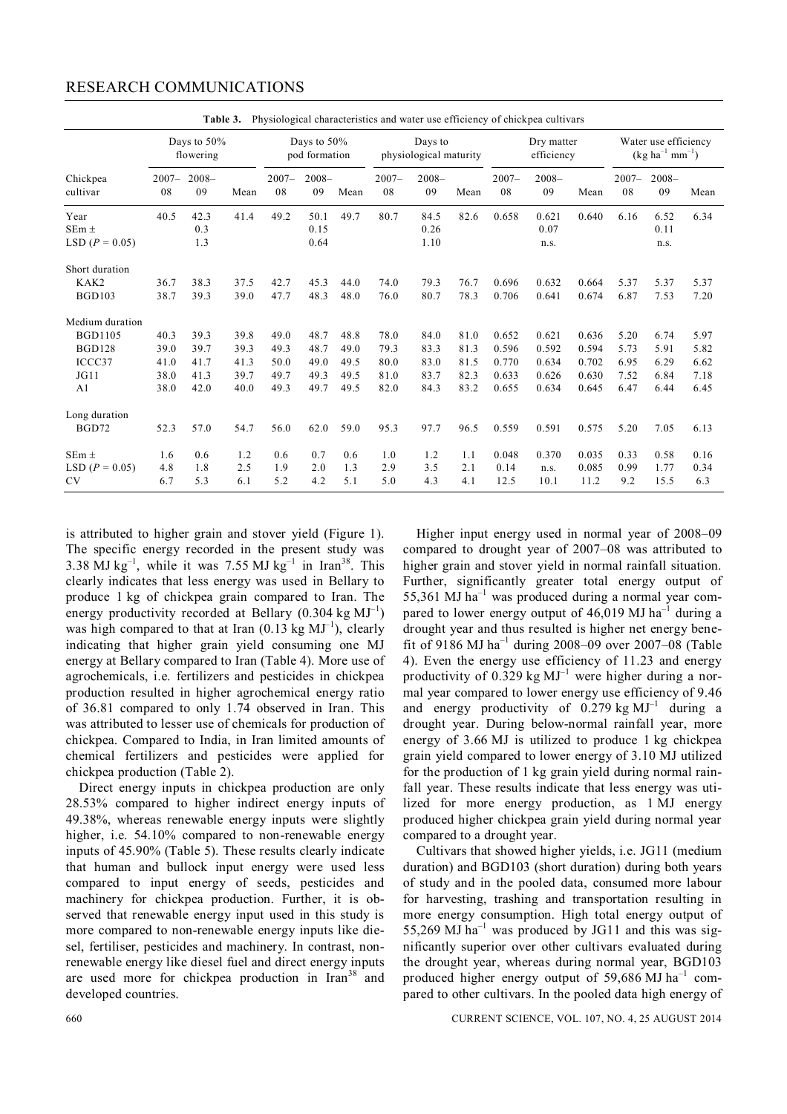| $2007 -$<br>08                       | $2008 -$<br>09                       | Mean                                 | $2007 -$<br>08                       | 09                                   | Mean                                 | $2007 -$<br>08                           | $2008 -$<br>09                       | Mean                                 | $2007 -$<br>08                            | $2008 -$<br>09                            | Mean                                      | $2007 -$<br>08                       | $2008 -$<br>09                                                                                                     | Mean                                                   |
|--------------------------------------|--------------------------------------|--------------------------------------|--------------------------------------|--------------------------------------|--------------------------------------|------------------------------------------|--------------------------------------|--------------------------------------|-------------------------------------------|-------------------------------------------|-------------------------------------------|--------------------------------------|--------------------------------------------------------------------------------------------------------------------|--------------------------------------------------------|
| 40.5                                 | 42.3<br>0.3<br>1.3                   | 41.4                                 | 49.2                                 | 50.1<br>0.15<br>0.64                 | 49.7                                 | 80.7                                     | 84.5<br>0.26<br>1.10                 | 82.6                                 | 0.658                                     | 0.621<br>0.07<br>n.s.                     | 0.640                                     | 6.16                                 | 6.52<br>0.11<br>n.s.                                                                                               | 6.34                                                   |
| 36.7<br>38.7                         | 38.3<br>39.3                         | 37.5<br>39.0                         | 42.7<br>47.7                         | 45.3<br>48.3                         | 44.0<br>48.0                         | 74.0<br>76.0                             | 79.3<br>80.7                         | 76.7<br>78.3                         | 0.696<br>0.706                            | 0.632<br>0.641                            | 0.664<br>0.674                            | 5.37<br>6.87                         | 5.37<br>7.53                                                                                                       | 5.37<br>7.20                                           |
| 40.3<br>39.0<br>41.0<br>38.0<br>38.0 | 39.3<br>39.7<br>41.7<br>41.3<br>42.0 | 39.8<br>39.3<br>41.3<br>39.7<br>40.0 | 49.0<br>49.3<br>50.0<br>49.7<br>49.3 | 48.7<br>48.7<br>49.0<br>49.3<br>49.7 | 48.8<br>49.0<br>49.5<br>49.5<br>49.5 | 78.0<br>79.3<br>80.0<br>81.0<br>82.0     | 84.0<br>83.3<br>83.0<br>83.7<br>84.3 | 81.0<br>81.3<br>81.5<br>82.3<br>83.2 | 0.652<br>0.596<br>0.770<br>0.633<br>0.655 | 0.621<br>0.592<br>0.634<br>0.626<br>0.634 | 0.636<br>0.594<br>0.702<br>0.630<br>0.645 | 5.20<br>5.73<br>6.95<br>7.52<br>6.47 | 6.74<br>5.91<br>6.29<br>6.84<br>6.44                                                                               | 5.97<br>5.82<br>6.62<br>7.18<br>6.45                   |
| 52.3<br>1.6<br>4.8                   | 57.0<br>0.6<br>1.8                   | 54.7<br>1.2<br>2.5                   | 56.0<br>0.6<br>1.9                   | 62.0<br>0.7<br>2.0                   | 59.0<br>0.6<br>1.3                   | 95.3<br>1.0<br>2.9                       | 97.7<br>1.2<br>3.5                   | 96.5<br>1.1<br>2.1                   | 0.559<br>0.048<br>0.14                    | 0.591<br>0.370<br>n.s.                    | 0.575<br>0.035<br>0.085                   | 5.20<br>0.33<br>0.99                 | 7.05<br>0.58<br>1.77                                                                                               | 6.13<br>0.16<br>0.34<br>6.3                            |
|                                      | 6.7                                  | flowering<br>5.3                     | Table 3.<br>Days to 50%<br>6.1       | 5.2                                  |                                      | Days to 50%<br>pod formation<br>$2008 -$ |                                      | 4.3<br>4.2<br>5.1<br>5.0             | Days to<br>physiological maturity         |                                           |                                           | Dry matter<br>efficiency             | Physiological characteristics and water use efficiency of chickpea cultivars<br>12.5<br>11.2<br>9.2<br>4.1<br>10.1 | Water use efficiency<br>$(kg ha^{-1} mm^{-1})$<br>15.5 |

is attributed to higher grain and stover yield (Figure 1). The specific energy recorded in the present study was 3.38 MJ  $kg^{-1}$ , while it was 7.55 MJ  $kg^{-1}$  in Iran<sup>38</sup>. This clearly indicates that less energy was used in Bellary to produce 1 kg of chickpea grain compared to Iran. The energy productivity recorded at Bellary  $(0.304 \text{ kg } \text{MJ}^{-1})$ was high compared to that at Iran  $(0.13 \text{ kg } \text{MJ}^{-1})$ , clearly indicating that higher grain yield consuming one MJ energy at Bellary compared to Iran (Table 4). More use of agrochemicals, i.e. fertilizers and pesticides in chickpea production resulted in higher agrochemical energy ratio of 36.81 compared to only 1.74 observed in Iran. This was attributed to lesser use of chemicals for production of chickpea. Compared to India, in Iran limited amounts of chemical fertilizers and pesticides were applied for chickpea production (Table 2).

Direct energy inputs in chickpea production are only 28.53% compared to higher indirect energy inputs of 49.38%, whereas renewable energy inputs were slightly higher, i.e. 54.10% compared to non-renewable energy inputs of 45.90% (Table 5). These results clearly indicate that human and bullock input energy were used less compared to input energy of seeds, pesticides and machinery for chickpea production. Further, it is observed that renewable energy input used in this study is more compared to non-renewable energy inputs like diesel, fertiliser, pesticides and machinery. In contrast, nonrenewable energy like diesel fuel and direct energy inputs are used more for chickpea production in Iran<sup>38</sup> and developed countries.

Higher input energy used in normal year of 2008–09 compared to drought year of 2007–08 was attributed to higher grain and stover yield in normal rainfall situation. Further, significantly greater total energy output of 55,361 MJ ha<sup>-1</sup> was produced during a normal year compared to lower energy output of  $46,019$  MJ ha<sup>-1</sup> during a drought year and thus resulted is higher net energy benefit of 9186 MJ ha<sup>-1</sup> during 2008-09 over 2007-08 (Table 4). Even the energy use efficiency of 11.23 and energy productivity of 0.329 kg  $MJ^{-1}$  were higher during a normal year compared to lower energy use efficiency of 9.46 and energy productivity of  $0.279 \text{ kg } \text{MJ}^{-1}$  during a drought year. During below-normal rainfall year, more energy of 3.66 MJ is utilized to produce 1 kg chickpea grain yield compared to lower energy of 3.10 MJ utilized for the production of 1 kg grain yield during normal rainfall year. These results indicate that less energy was utilized for more energy production, as 1 MJ energy produced higher chickpea grain yield during normal year compared to a drought year.

Cultivars that showed higher yields, i.e. JG11 (medium duration) and BGD103 (short duration) during both years of study and in the pooled data, consumed more labour for harvesting, trashing and transportation resulting in more energy consumption. High total energy output of 55,269 MJ ha<sup>-1</sup> was produced by JG11 and this was significantly superior over other cultivars evaluated during the drought year, whereas during normal year, BGD103 produced higher energy output of  $59,686$  MJ ha<sup>-1</sup> compared to other cultivars. In the pooled data high energy of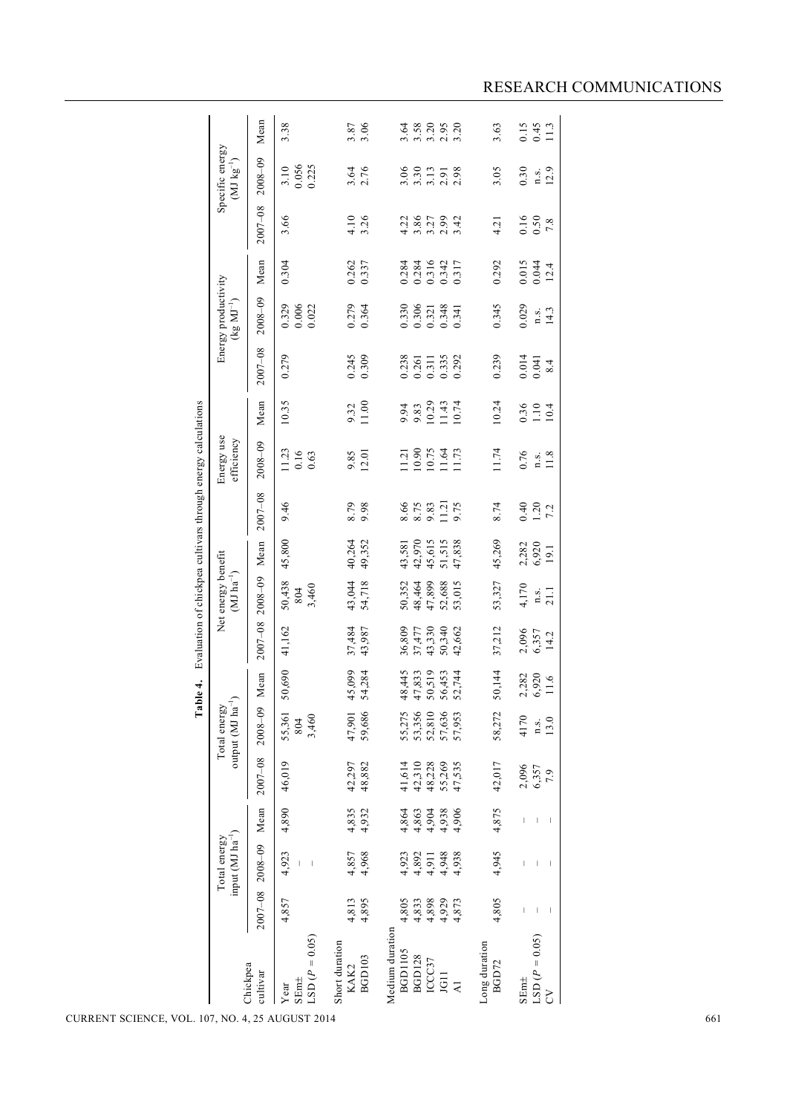|                                                                                                                                     | input $(MJ ha^{-1})$<br>Total energy      |                                                                     |                                                | output (MJ $\overline{ha}^{-1}$ )<br>Total energy |                                                |                                                | Net energy benefit<br>$(MJ ha^{-1})$           |                                                |                                       | Energy use<br>efficiency                  |                                |                                           | Energy productivity<br>$(kg\ MJ^{-1})$    |                                           |                                          | Specific energy<br>$(\hbox{MJ\,kg}^{-1})$ |                                  |
|-------------------------------------------------------------------------------------------------------------------------------------|-------------------------------------------|---------------------------------------------------------------------|------------------------------------------------|---------------------------------------------------|------------------------------------------------|------------------------------------------------|------------------------------------------------|------------------------------------------------|---------------------------------------|-------------------------------------------|--------------------------------|-------------------------------------------|-------------------------------------------|-------------------------------------------|------------------------------------------|-------------------------------------------|----------------------------------|
| $2007 - 08$<br>Chickpea<br>cultivar                                                                                                 | $2008 - 09$                               | Mean                                                                | 2007-08                                        | $2008 - 09$                                       | Mean                                           | $2007 - 08$                                    | $2008 - 09$                                    | Mean                                           | 2007-08                               | $2008 - 09$                               | Mean                           | $2007 - 08$                               | $2008 - 09$                               | Mean                                      | $2007 - 08$                              | $2008 - 09$                               | Mean                             |
| 4,857<br>$LSD (P = 0.05)$<br>SEm±<br>Year                                                                                           | 4,923<br>$\blacksquare$                   | 4,890                                                               | 46,019                                         | 55,361<br>3,460<br>804                            | 50,690                                         | 41,162                                         | 50,438<br>3,460<br>804                         | 45,800                                         | 9.46                                  | 11.23<br>0.16<br>0.63                     | 10.35                          | 0.279                                     | 0.006<br>0.022<br>0.329                   | 0.304                                     | 3.66                                     | 0.056<br>0.225<br>3.10                    | 3.38                             |
| 4,813<br>4,895<br>Short duration<br><b>BGD103</b><br>KAK2                                                                           | 4,857<br>4,968                            | 4,832<br>4,932                                                      | 42,297<br>48,882                               | 59,686<br>47,901                                  | 45,099<br>54,284                               | 37,484<br>43,987                               | 43,044<br>54,718                               | 40,264<br>49,352                               | 8.79                                  | 9.85                                      | 9.32<br>11.00                  | 0.245                                     | 0.279<br>0.364                            | 0.262<br>0.337                            | $4.10$<br>3.26                           | $3.64$<br>$2.76$                          | $3.87$<br>$3.06$                 |
| 4,898<br>4,929<br>4,805<br>4,833<br>4,873<br>Medium duration<br><b>BGD1105</b><br><b>BGD128</b><br>ICCC37<br>JG11<br>$\overline{A}$ | 4,938<br>4,923<br>4,892<br>4,911<br>4,948 | 4,864<br>4,863<br>4,904<br>4,938<br>4,906                           | 41,614<br>42,310<br>48,228<br>55,269<br>47,535 | 53,356<br>52,810<br>57,636<br>57,953<br>55,275    | 48,445<br>47,833<br>50,519<br>56,453<br>52,744 | 43,330<br>36,809<br>50,340<br>37,477<br>42,662 | 50,352<br>48,464<br>47,899<br>52,688<br>53,015 | 43,581<br>42,970<br>45,615<br>51,515<br>47,838 | 11.21<br>8.66<br>8.75<br>9.83<br>9.75 | 10.90<br>10.75<br>11.64<br>11.73<br>11.21 | 10.29<br>11.43<br>9.83<br>9.94 | 0.238<br>0.335<br>0.261<br>0.311<br>0.292 | 0.330<br>0.306<br>0.321<br>0.348<br>0.341 | 0.284<br>0.284<br>0.316<br>0.317<br>0.342 | 3.86<br>4.22<br>$3.27$<br>$2.99$<br>3.42 | 3.30<br>3.06<br>3.13<br>2.98<br>2.91      | $3.58$<br>$3.50$<br>2.95<br>3.20 |
| 4,805<br>Long duration<br>BGD72                                                                                                     | 4,945                                     | 4,875                                                               | 42,017                                         | 58,272                                            | 50,144                                         | 37,212                                         | 53,327                                         | 45,269                                         | 8.74                                  | 11.74                                     | 10.24                          | 0.239                                     | 0.345                                     | 0.292                                     | 4.21                                     | 3.05                                      | 3.63                             |
| $\bigl($<br>$\mathsf I$<br>LSD $(P = 0.05)$<br>SEm <sup>±</sup><br>$\mathcal{L}$                                                    | $\overline{\phantom{a}}$<br>$\mathsf{L}$  | $\begin{array}{c} \hline \end{array}$<br>$\mathsf I$<br>$\mathsf I$ | 2,096<br>6,357<br>7.9                          | 4170<br>13.0<br>n.s.                              | 2,282<br>6,920<br>$11.6$                       | 2,096<br>6,357<br>14.2                         | 4,170<br>21.1<br>n.s.                          | 2,282<br>6,920<br>19.1                         | $0.40$<br>1.20<br>7.2                 | 0.76<br>11.8<br>n.s.                      | 0.36<br>$1.10\,$<br>10.4       | 0.014<br>$0.041$<br>8.4                   | 0.029<br>14.3<br>n.s.                     | $0.015$<br>0.044<br>12.4                  | 0.16<br>0.50<br>$7.8\,$                  | 0.30<br>12.9<br>n.s.                      | 0.15<br>0.45<br>11.3             |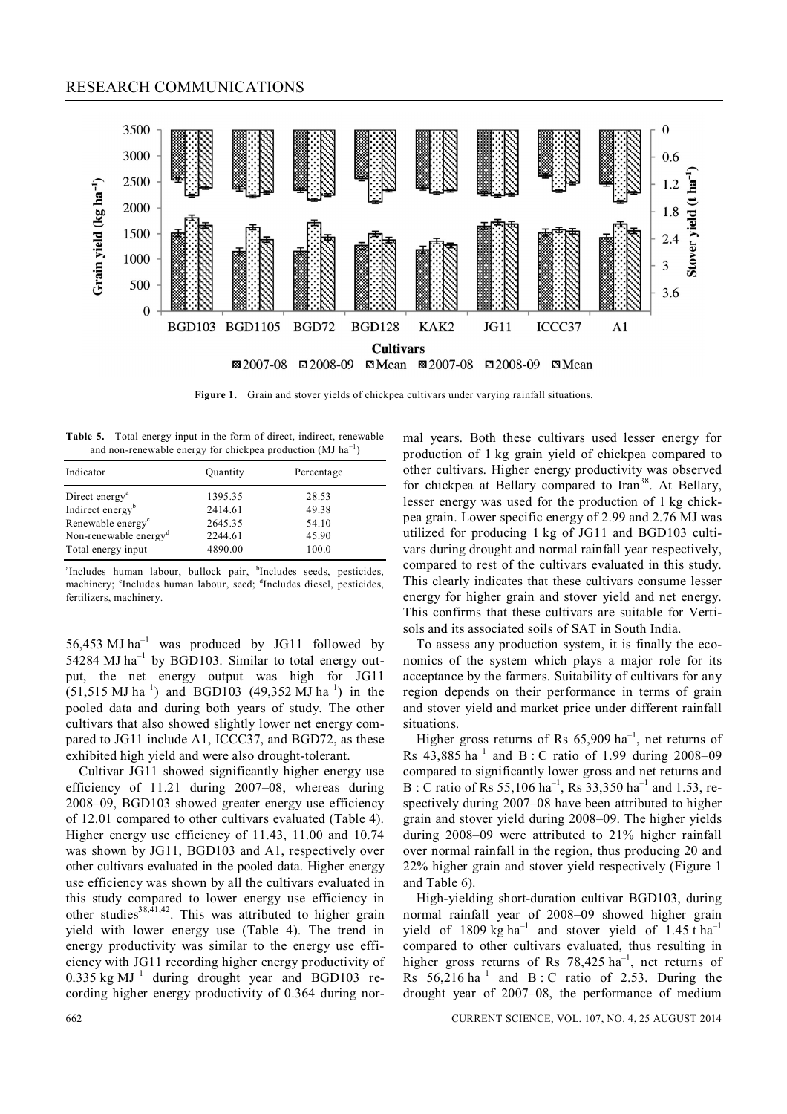## RESEARCH COMMUNICATIONS



**Figure 1.** Grain and stover yields of chickpea cultivars under varying rainfall situations.

**Table 5.** Total energy input in the form of direct, indirect, renewable and non-renewable energy for chickpea production  $(MJ ha^{-1})$ 

| Indicator                         | Quantity | Percentage |
|-----------------------------------|----------|------------|
| Direct energy <sup>a</sup>        | 1395.35  | 28.53      |
| Indirect energy <sup>b</sup>      | 2414.61  | 49.38      |
| Renewable energy <sup>c</sup>     | 2645.35  | 54.10      |
| Non-renewable energy <sup>d</sup> | 2244.61  | 45.90      |
| Total energy input                | 4890.00  | 100.0      |

<sup>a</sup>Includes human labour, bullock pair, <sup>b</sup>Includes seeds, pesticides, machinery; <sup>c</sup>Includes human labour, seed; <sup>d</sup>Includes diesel, pesticides, fertilizers, machinery.

56,453 MJ ha<sup>-1</sup> was produced by JG11 followed by 54284 MJ  $ha^{-1}$  by BGD103. Similar to total energy output, the net energy output was high for JG11  $(51,515 \text{ MJ ha}^{-1})$  and BGD103  $(49,352 \text{ MJ ha}^{-1})$  in the pooled data and during both years of study. The other cultivars that also showed slightly lower net energy compared to JG11 include A1, ICCC37, and BGD72, as these exhibited high yield and were also drought-tolerant.

Cultivar JG11 showed significantly higher energy use efficiency of 11.21 during 2007–08, whereas during 2008–09, BGD103 showed greater energy use efficiency of 12.01 compared to other cultivars evaluated (Table 4). Higher energy use efficiency of 11.43, 11.00 and 10.74 was shown by JG11, BGD103 and A1, respectively over other cultivars evaluated in the pooled data. Higher energy use efficiency was shown by all the cultivars evaluated in this study compared to lower energy use efficiency in other studies<sup>38,41,42</sup>. This was attributed to higher grain yield with lower energy use (Table 4). The trend in energy productivity was similar to the energy use efficiency with JG11 recording higher energy productivity of  $0.335$  kg MJ<sup>-1</sup> during drought year and BGD103 recording higher energy productivity of 0.364 during nor-

mal years. Both these cultivars used lesser energy for production of 1 kg grain yield of chickpea compared to other cultivars. Higher energy productivity was observed for chickpea at Bellary compared to Iran<sup>38</sup>. At Bellary, lesser energy was used for the production of 1 kg chickpea grain. Lower specific energy of 2.99 and 2.76 MJ was utilized for producing 1 kg of JG11 and BGD103 cultivars during drought and normal rainfall year respectively, compared to rest of the cultivars evaluated in this study. This clearly indicates that these cultivars consume lesser energy for higher grain and stover yield and net energy. This confirms that these cultivars are suitable for Vertisols and its associated soils of SAT in South India.

To assess any production system, it is finally the economics of the system which plays a major role for its acceptance by the farmers. Suitability of cultivars for any region depends on their performance in terms of grain and stover yield and market price under different rainfall situations.

Higher gross returns of Rs  $65,909$  ha<sup>-1</sup>, net returns of Rs  $43,885$  ha<sup>-1</sup> and B : C ratio of 1.99 during 2008-09 compared to significantly lower gross and net returns and B : C ratio of Rs 55,106 ha<sup>-1</sup>, Rs 33,350 ha<sup>-1</sup> and 1.53, respectively during 2007–08 have been attributed to higher grain and stover yield during 2008–09. The higher yields during 2008–09 were attributed to 21% higher rainfall over normal rainfall in the region, thus producing 20 and 22% higher grain and stover yield respectively (Figure 1 and Table 6).

High-yielding short-duration cultivar BGD103, during normal rainfall year of 2008–09 showed higher grain yield of 1809 kg ha<sup>-1</sup> and stover yield of 1.45 t ha<sup>-1</sup> compared to other cultivars evaluated, thus resulting in higher gross returns of Rs  $78,425$   $ha^{-1}$ , net returns of Rs  $56,216$  ha<sup>-1</sup> and B: C ratio of 2.53. During the drought year of 2007–08, the performance of medium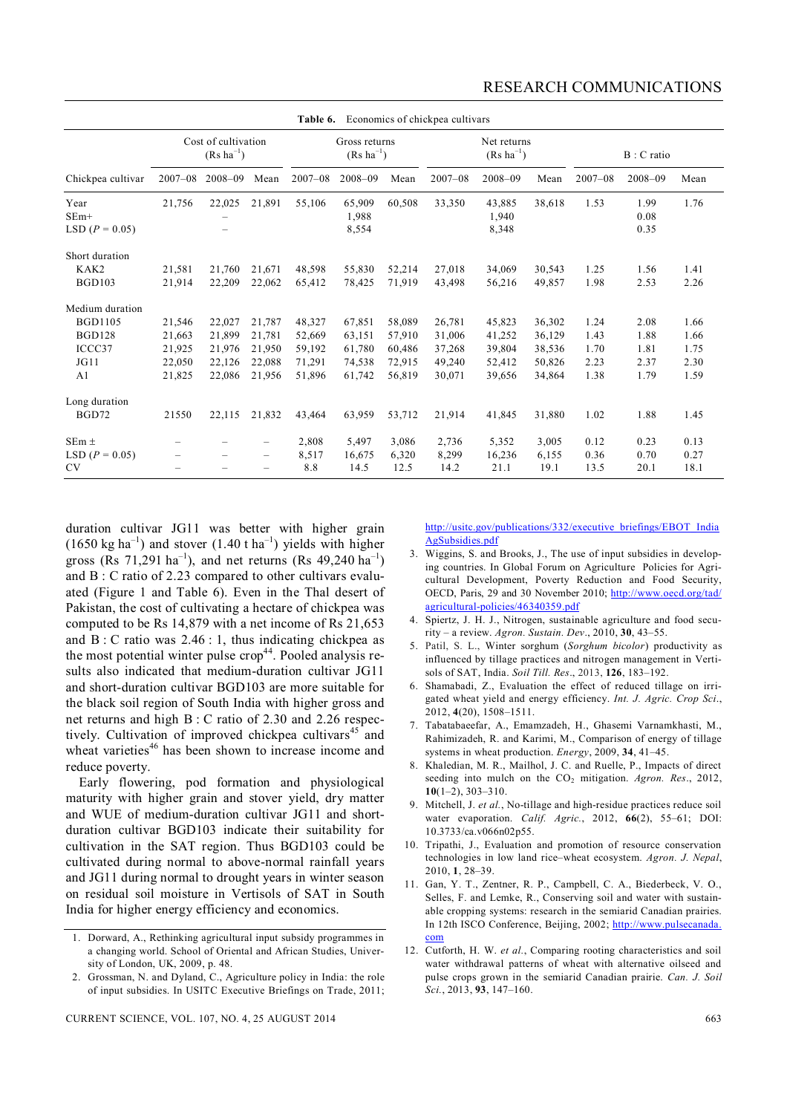|                                                                            |                                                |                                                |                                                | Table 6.                                       |                                                |                                                | Economics of chickpea cultivars                |                                                |                                                |                                      |                                      |                                      |  |
|----------------------------------------------------------------------------|------------------------------------------------|------------------------------------------------|------------------------------------------------|------------------------------------------------|------------------------------------------------|------------------------------------------------|------------------------------------------------|------------------------------------------------|------------------------------------------------|--------------------------------------|--------------------------------------|--------------------------------------|--|
|                                                                            | Cost of cultivation<br>$(Rs \text{ ha}^{-1})$  |                                                |                                                |                                                | Gross returns<br>$(Rs ha^{-1})$                |                                                |                                                | Net returns<br>$(Rs ha^{-1})$                  |                                                |                                      | B: C ratio                           |                                      |  |
| Chickpea cultivar                                                          | $2007 - 08$                                    | $2008 - 09$                                    | Mean                                           | $2007 - 08$                                    | $2008 - 09$                                    | Mean                                           | $2007 - 08$                                    | $2008 - 09$                                    | Mean                                           | $2007 - 08$                          | $2008 - 09$                          | Mean                                 |  |
| Year<br>$SEm+$<br>LSD $(P = 0.05)$                                         | 21,756                                         | 22,025                                         | 21,891                                         | 55,106                                         | 65,909<br>1,988<br>8,554                       | 60,508                                         | 33,350                                         | 43,885<br>1,940<br>8,348                       | 38,618                                         | 1.53                                 | 1.99<br>0.08<br>0.35                 | 1.76                                 |  |
| Short duration<br>KAK2<br><b>BGD103</b>                                    | 21,581<br>21,914                               | 21.760<br>22,209                               | 21,671<br>22,062                               | 48,598<br>65,412                               | 55,830<br>78,425                               | 52,214<br>71,919                               | 27,018<br>43,498                               | 34,069<br>56,216                               | 30,543<br>49,857                               | 1.25<br>1.98                         | 1.56<br>2.53                         | 1.41<br>2.26                         |  |
| Medium duration<br><b>BGD1105</b><br><b>BGD128</b><br>ICCC37<br>JG11<br>A1 | 21,546<br>21,663<br>21,925<br>22,050<br>21,825 | 22,027<br>21,899<br>21,976<br>22,126<br>22,086 | 21,787<br>21,781<br>21,950<br>22,088<br>21,956 | 48,327<br>52,669<br>59,192<br>71,291<br>51,896 | 67,851<br>63,151<br>61,780<br>74,538<br>61,742 | 58,089<br>57,910<br>60,486<br>72,915<br>56,819 | 26,781<br>31,006<br>37,268<br>49,240<br>30,071 | 45,823<br>41,252<br>39,804<br>52,412<br>39,656 | 36,302<br>36,129<br>38,536<br>50,826<br>34,864 | 1.24<br>1.43<br>1.70<br>2.23<br>1.38 | 2.08<br>1.88<br>1.81<br>2.37<br>1.79 | 1.66<br>1.66<br>1.75<br>2.30<br>1.59 |  |
| Long duration<br>BGD72                                                     | 21550                                          | 22,115                                         | 21,832                                         | 43,464                                         | 63,959                                         | 53,712                                         | 21,914                                         | 41,845                                         | 31,880                                         | 1.02                                 | 1.88                                 | 1.45                                 |  |
| $SEm \pm$<br>LSD $(P = 0.05)$<br><b>CV</b>                                 | -                                              | $\qquad \qquad -$                              | -<br>$\qquad \qquad -$                         | 2,808<br>8,517<br>8.8                          | 5,497<br>16,675<br>14.5                        | 3,086<br>6,320<br>12.5                         | 2,736<br>8,299<br>14.2                         | 5,352<br>16,236<br>21.1                        | 3,005<br>6,155<br>19.1                         | 0.12<br>0.36<br>13.5                 | 0.23<br>0.70<br>20.1                 | 0.13<br>0.27<br>18.1                 |  |

duration cultivar JG11 was better with higher grain  $(1650 \text{ kg ha}^{-1})$  and stover  $(1.40 \text{ tha}^{-1})$  yields with higher gross (Rs 71,291 ha<sup>-1</sup>), and net returns (Rs 49,240 ha<sup>-1</sup>) and B : C ratio of 2.23 compared to other cultivars evaluated (Figure 1 and Table 6). Even in the Thal desert of Pakistan, the cost of cultivating a hectare of chickpea was computed to be Rs 14,879 with a net income of Rs 21,653 and  $B \nvert C$  ratio was 2.46 : 1, thus indicating chickpea as the most potential winter pulse  $\text{crop}^{44}$ . Pooled analysis results also indicated that medium-duration cultivar JG11 and short-duration cultivar BGD103 are more suitable for the black soil region of South India with higher gross and net returns and high B : C ratio of 2.30 and 2.26 respectively. Cultivation of improved chickpea cultivars<sup>45</sup> and wheat varieties $46$  has been shown to increase income and reduce poverty.

Early flowering, pod formation and physiological maturity with higher grain and stover yield, dry matter and WUE of medium-duration cultivar JG11 and shortduration cultivar BGD103 indicate their suitability for cultivation in the SAT region. Thus BGD103 could be cultivated during normal to above-normal rainfall years and JG11 during normal to drought years in winter season on residual soil moisture in Vertisols of SAT in South India for higher energy efficiency and economics.

http://usitc.gov/publications/332/executive\_briefings/EBOT\_India AgSubsidies.pdf

- 3. Wiggins, S. and Brooks, J., The use of input subsidies in developing countries. In Global Forum on Agriculture Policies for Agricultural Development, Poverty Reduction and Food Security, OECD, Paris, 29 and 30 November 2010; http://www.oecd.org/tad/ agricultural-policies/46340359.pdf
- 4. Spiertz, J. H. J., Nitrogen, sustainable agriculture and food security – a review. *Agron. Sustain. Dev*., 2010, **30**, 43–55.
- 5. Patil, S. L., Winter sorghum (*Sorghum bicolor*) productivity as influenced by tillage practices and nitrogen management in Vertisols of SAT, India. *Soil Till. Res*., 2013, **126**, 183–192.
- 6. Shamabadi, Z., Evaluation the effect of reduced tillage on irrigated wheat yield and energy efficiency. *Int. J. Agric. Crop Sci*., 2012, **4**(20), 1508–1511.
- 7. Tabatabaeefar, A., Emamzadeh, H., Ghasemi Varnamkhasti, M., Rahimizadeh, R. and Karimi, M., Comparison of energy of tillage systems in wheat production. *Energy*, 2009, **34**, 41–45.
- 8. Khaledian, M. R., Mailhol, J. C. and Ruelle, P., Impacts of direct seeding into mulch on the CO<sub>2</sub> mitigation. *Agron. Res.*, 2012, **10**(1–2), 303–310.
- 9. Mitchell, J. *et al.*, No-tillage and high-residue practices reduce soil water evaporation. *Calif. Agric.*, 2012, **66**(2), 55–61; DOI: 10.3733/ca.v066n02p55.
- 10. Tripathi, J., Evaluation and promotion of resource conservation technologies in low land rice–wheat ecosystem. *Agron. J. Nepal*, 2010, **1**, 28–39.
- 11. Gan, Y. T., Zentner, R. P., Campbell, C. A., Biederbeck, V. O., Selles, F. and Lemke, R., Conserving soil and water with sustainable cropping systems: research in the semiarid Canadian prairies. In 12th ISCO Conference, Beijing, 2002; http://www.pulsecanada. com
- 12. Cutforth, H. W. *et al.*, Comparing rooting characteristics and soil water withdrawal patterns of wheat with alternative oilseed and pulse crops grown in the semiarid Canadian prairie. *Can. J. Soil Sci.*, 2013, **93**, 147–160.

<sup>1.</sup> Dorward, A., Rethinking agricultural input subsidy programmes in a changing world. School of Oriental and African Studies, University of London, UK, 2009, p. 48.

<sup>2.</sup> Grossman, N. and Dyland, C., Agriculture policy in India: the role of input subsidies. In USITC Executive Briefings on Trade, 2011;